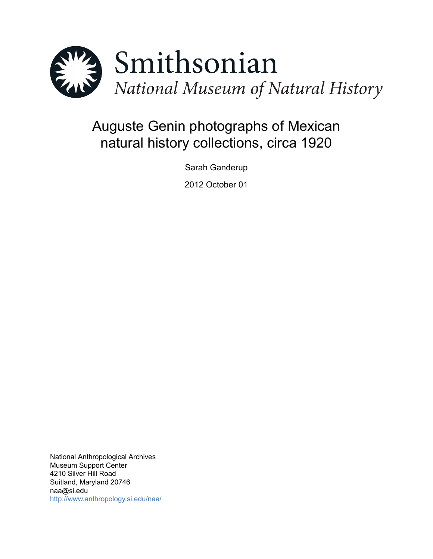

# Auguste Genin photographs of Mexican natural history collections, circa 1920

Sarah Ganderup

2012 October 01

National Anthropological Archives Museum Support Center 4210 Silver Hill Road Suitland, Maryland 20746 naa@si.edu <http://www.anthropology.si.edu/naa/>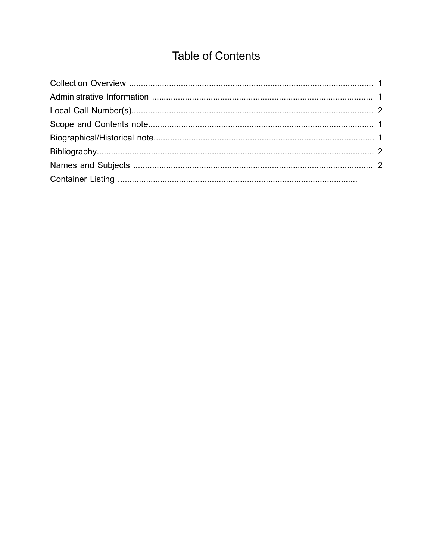## **Table of Contents**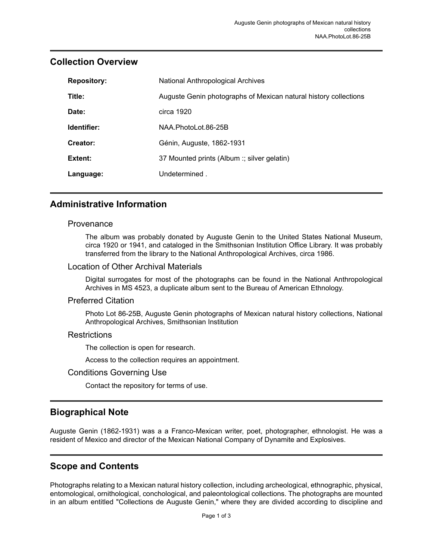| <b>Repository:</b> | National Anthropological Archives                                |
|--------------------|------------------------------------------------------------------|
| Title:             | Auguste Genin photographs of Mexican natural history collections |
| Date:              | circa 1920                                                       |
| Identifier:        | NAA.PhotoLot.86-25B                                              |
| Creator:           | Génin, Auguste, 1862-1931                                        |
| Extent:            | 37 Mounted prints (Album :; silver gelatin)                      |
| Language:          | Undetermined.                                                    |

## <span id="page-2-0"></span>**Collection Overview**

## <span id="page-2-1"></span>**Administrative Information**

#### Provenance

The album was probably donated by Auguste Genin to the United States National Museum, circa 1920 or 1941, and cataloged in the Smithsonian Institution Office Library. It was probably transferred from the library to the National Anthropological Archives, circa 1986.

#### Location of Other Archival Materials

Digital surrogates for most of the photographs can be found in the National Anthropological Archives in MS 4523, a duplicate album sent to the Bureau of American Ethnology.

#### Preferred Citation

Photo Lot 86-25B, Auguste Genin photographs of Mexican natural history collections, National Anthropological Archives, Smithsonian Institution

#### **Restrictions**

The collection is open for research.

Access to the collection requires an appointment.

#### Conditions Governing Use

Contact the repository for terms of use.

## <span id="page-2-3"></span>**Biographical Note**

Auguste Genin (1862-1931) was a a Franco-Mexican writer, poet, photographer, ethnologist. He was a resident of Mexico and director of the Mexican National Company of Dynamite and Explosives.

## <span id="page-2-2"></span>**Scope and Contents**

Photographs relating to a Mexican natural history collection, including archeological, ethnographic, physical, entomological, ornithological, conchological, and paleontological collections. The photographs are mounted in an album entitled "Collections de Auguste Genin," where they are divided according to discipline and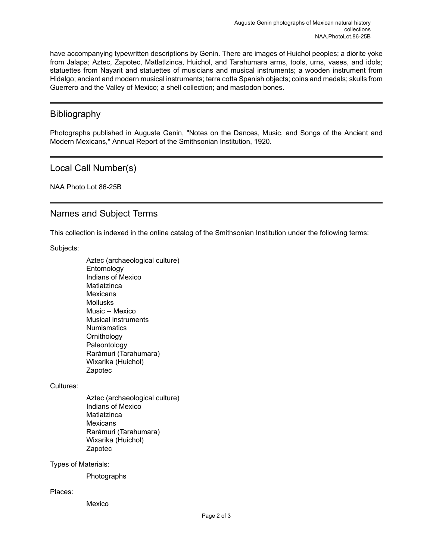have accompanying typewritten descriptions by Genin. There are images of Huichol peoples; a diorite yoke from Jalapa; Aztec, Zapotec, Matlatlzinca, Huichol, and Tarahumara arms, tools, urns, vases, and idols; statuettes from Nayarit and statuettes of musicians and musical instruments; a wooden instrument from Hidalgo; ancient and modern musical instruments; terra cotta Spanish objects; coins and medals; skulls from Guerrero and the Valley of Mexico; a shell collection; and mastodon bones.

## <span id="page-3-1"></span>Bibliography

Photographs published in Auguste Genin, "Notes on the Dances, Music, and Songs of the Ancient and Modern Mexicans," Annual Report of the Smithsonian Institution, 1920.

## <span id="page-3-0"></span>Local Call Number(s)

NAA Photo Lot 86-25B

## <span id="page-3-2"></span>Names and Subject Terms

This collection is indexed in the online catalog of the Smithsonian Institution under the following terms:

Subjects:

Aztec (archaeological culture) Entomology Indians of Mexico **Matlatzinca Mexicans Mollusks** Music -- Mexico Musical instruments **Numismatics Ornithology** Paleontology Rarámuri (Tarahumara) Wixarika (Huichol) Zapotec

Cultures:

Aztec (archaeological culture) Indians of Mexico **Matlatzinca Mexicans** Rarámuri (Tarahumara) Wixarika (Huichol) Zapotec

Types of Materials:

Photographs

#### Places:

Mexico